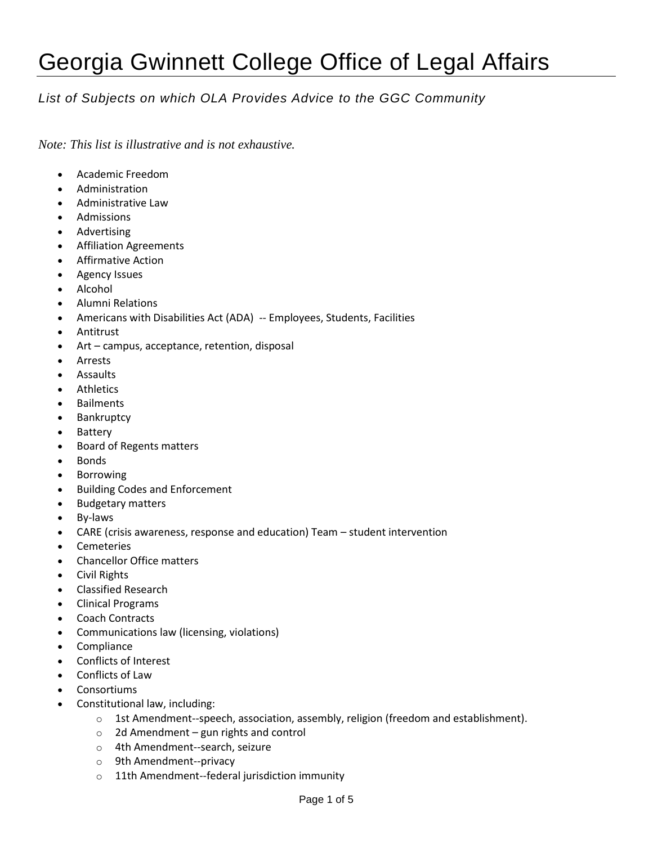## Georgia Gwinnett College Office of Legal Affairs

## *List of Subjects on which OLA Provides Advice to the GGC Community*

*Note: This list is illustrative and is not exhaustive.*

- Academic Freedom
- Administration
- Administrative Law
- Admissions
- Advertising
- Affiliation Agreements
- Affirmative Action
- Agency Issues
- Alcohol
- Alumni Relations
- Americans with Disabilities Act (ADA) -- Employees, Students, Facilities
- Antitrust
- Art campus, acceptance, retention, disposal
- Arrests
- Assaults
- Athletics
- Bailments
- Bankruptcy
- Battery
- Board of Regents matters
- Bonds
- Borrowing
- Building Codes and Enforcement
- Budgetary matters
- By-laws
- CARE (crisis awareness, response and education) Team student intervention
- Cemeteries
- Chancellor Office matters
- Civil Rights
- Classified Research
- Clinical Programs
- Coach Contracts
- Communications law (licensing, violations)
- Compliance
- Conflicts of Interest
- Conflicts of Law
- **Consortiums**
- Constitutional law, including:
	- $\circ$  1st Amendment--speech, association, assembly, religion (freedom and establishment).
	- $\circ$  2d Amendment gun rights and control
	- o 4th Amendment--search, seizure
	- o 9th Amendment--privacy
	- o 11th Amendment--federal jurisdiction immunity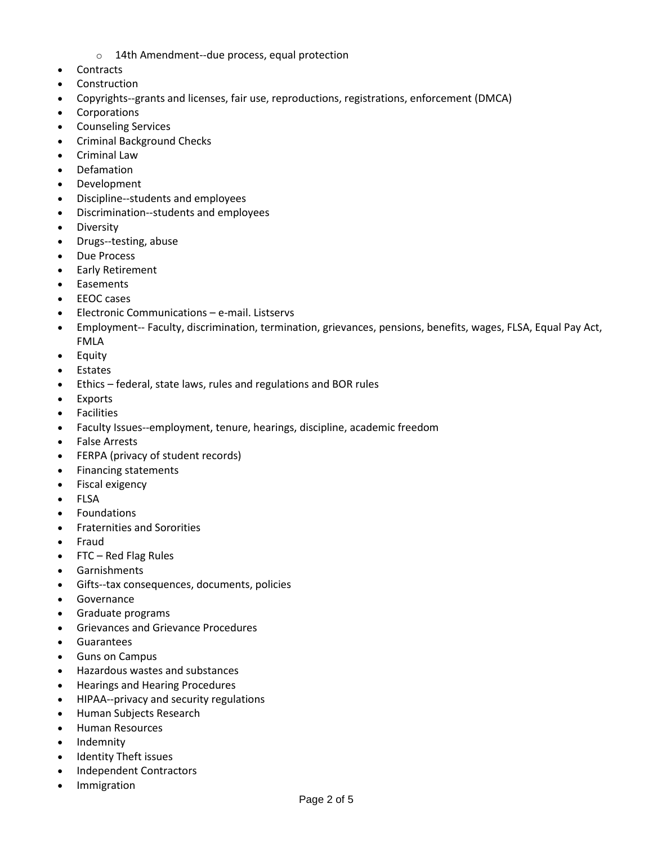- o 14th Amendment--due process, equal protection
- Contracts
- Construction
- Copyrights--grants and licenses, fair use, reproductions, registrations, enforcement (DMCA)
- Corporations
- Counseling Services
- Criminal Background Checks
- Criminal Law
- Defamation
- Development
- Discipline--students and employees
- Discrimination--students and employees
- **•** Diversity
- Drugs--testing, abuse
- Due Process
- Early Retirement
- Easements
- **EEOC** cases
- Electronic Communications e-mail. Listservs
- Employment-- Faculty, discrimination, termination, grievances, pensions, benefits, wages, FLSA, Equal Pay Act, FMLA
- Equity
- Estates
- Ethics federal, state laws, rules and regulations and BOR rules
- Exports
- Facilities
- Faculty Issues--employment, tenure, hearings, discipline, academic freedom
- False Arrests
- FERPA (privacy of student records)
- Financing statements
- Fiscal exigency
- FLSA
- Foundations
- Fraternities and Sororities
- Fraud
- FTC Red Flag Rules
- Garnishments
- Gifts--tax consequences, documents, policies
- Governance
- Graduate programs
- Grievances and Grievance Procedures
- Guarantees
- Guns on Campus
- Hazardous wastes and substances
- Hearings and Hearing Procedures
- HIPAA--privacy and security regulations
- Human Subjects Research
- **•** Human Resources
- Indemnity
- Identity Theft issues
- Independent Contractors
- Immigration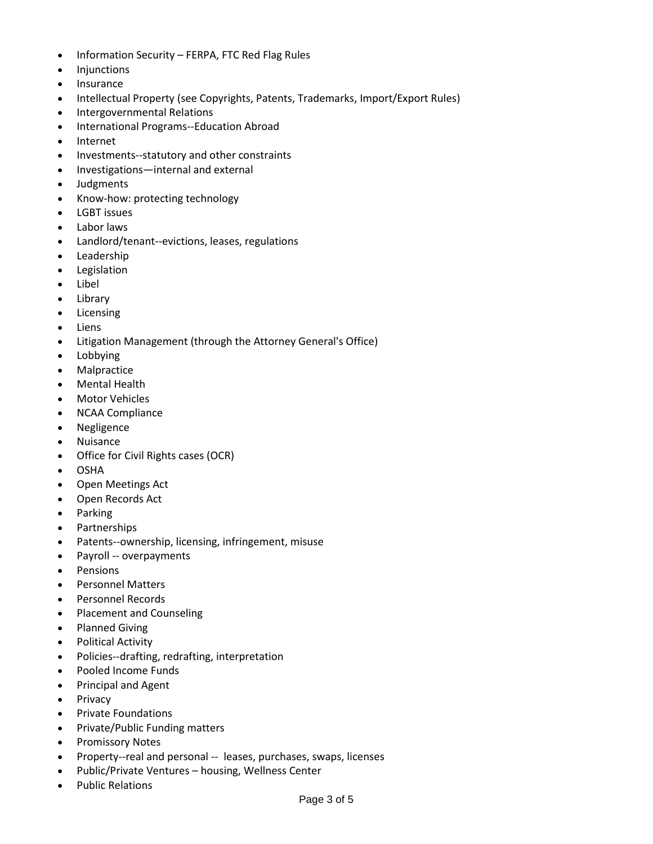- Information Security FERPA, FTC Red Flag Rules
- Injunctions
- Insurance
- Intellectual Property (see Copyrights, Patents, Trademarks, Import/Export Rules)
- Intergovernmental Relations
- International Programs--Education Abroad
- Internet
- Investments--statutory and other constraints
- Investigations—internal and external
- Judgments
- Know-how: protecting technology
- LGBT issues
- Labor laws
- Landlord/tenant--evictions, leases, regulations
- Leadership
- Legislation
- Libel
- Library
- Licensing
- Liens
- Litigation Management (through the Attorney General's Office)
- Lobbying
- Malpractice
- Mental Health
- Motor Vehicles
- NCAA Compliance
- Negligence
- Nuisance
- Office for Civil Rights cases (OCR)
- OSHA
- Open Meetings Act
- Open Records Act
- Parking
- Partnerships
- Patents--ownership, licensing, infringement, misuse
- Payroll -- overpayments
- Pensions
- Personnel Matters
- Personnel Records
- Placement and Counseling
- Planned Giving
- Political Activity
- Policies--drafting, redrafting, interpretation
- Pooled Income Funds
- Principal and Agent
- Privacy
- Private Foundations
- Private/Public Funding matters
- Promissory Notes
- Property--real and personal -- leases, purchases, swaps, licenses
- Public/Private Ventures housing, Wellness Center
- Public Relations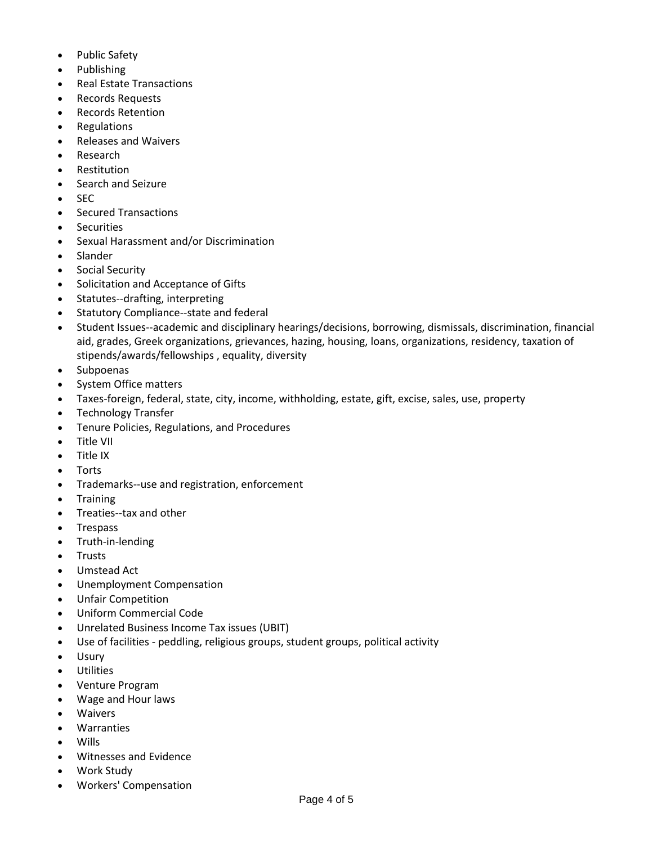- Public Safety
- Publishing
- Real Estate Transactions
- Records Requests
- Records Retention
- Regulations
- Releases and Waivers
- Research
- Restitution
- Search and Seizure
- SEC
- Secured Transactions
- **Securities**
- Sexual Harassment and/or Discrimination
- Slander
- Social Security
- Solicitation and Acceptance of Gifts
- Statutes--drafting, interpreting
- Statutory Compliance--state and federal
- Student Issues--academic and disciplinary hearings/decisions, borrowing, dismissals, discrimination, financial aid, grades, Greek organizations, grievances, hazing, housing, loans, organizations, residency, taxation of stipends/awards/fellowships , equality, diversity
- Subpoenas
- System Office matters
- Taxes-foreign, federal, state, city, income, withholding, estate, gift, excise, sales, use, property
- Technology Transfer
- Tenure Policies, Regulations, and Procedures
- Title VII
- Title IX
- Torts
- Trademarks--use and registration, enforcement
- Training
- Treaties--tax and other
- Trespass
- Truth-in-lending
- **Trusts**
- Umstead Act
- Unemployment Compensation
- Unfair Competition
- Uniform Commercial Code
- Unrelated Business Income Tax issues (UBIT)
- Use of facilities peddling, religious groups, student groups, political activity
- Usury
- Utilities
- Venture Program
- Wage and Hour laws
- Waivers
- Warranties
- **Wills**
- Witnesses and Evidence
- Work Study
- Workers' Compensation